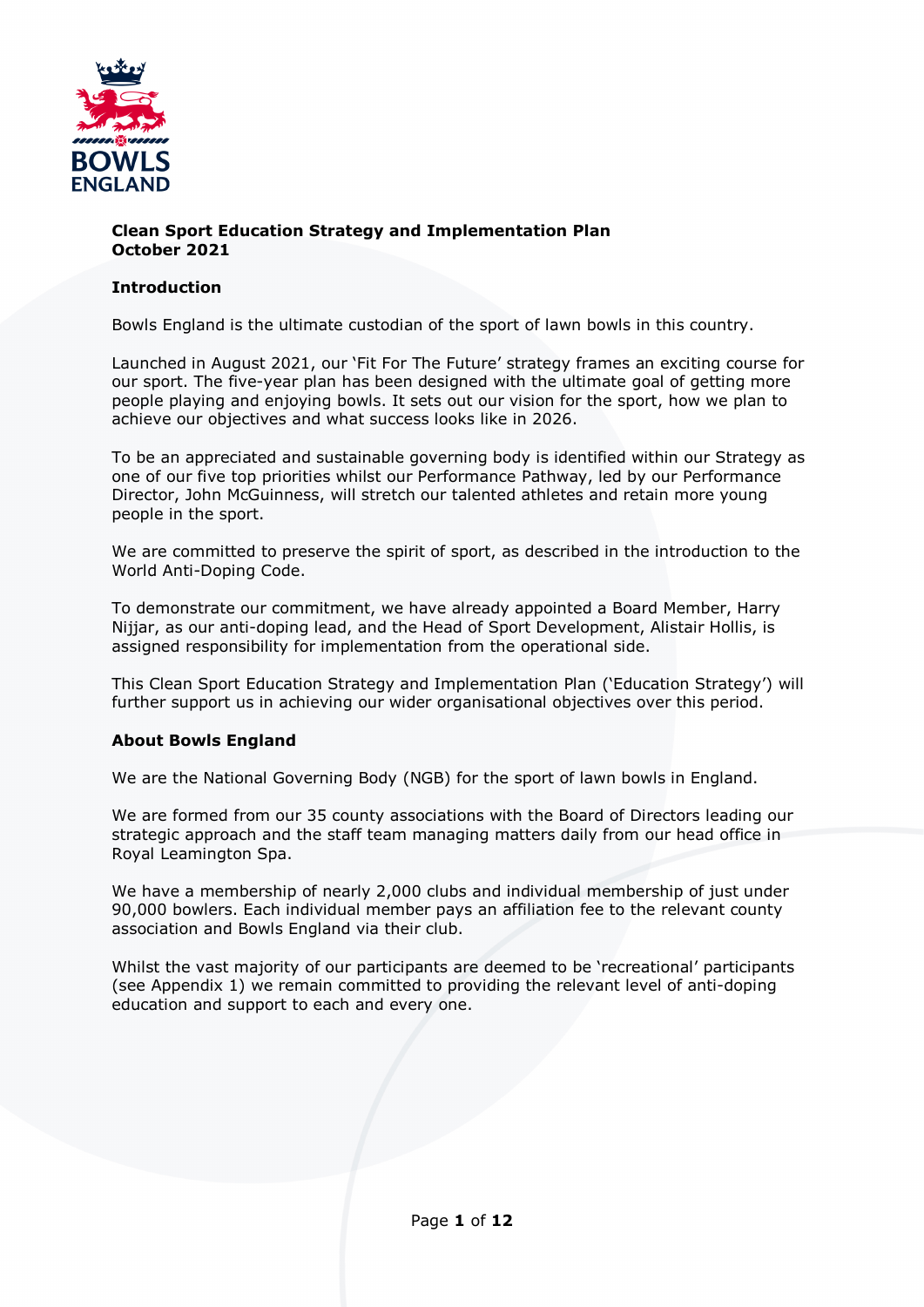

### **Clean Sport Education Strategy and Implementation Plan October 2021**

## **Introduction**

Bowls England is the ultimate custodian of the sport of lawn bowls in this country.

Launched in August 2021, our 'Fit For The Future' strategy frames an exciting course for our sport. The five-year plan has been designed with the ultimate goal of getting more people playing and enjoying bowls. It sets out our vision for the sport, how we plan to achieve our objectives and what success looks like in 2026.

To be an appreciated and sustainable governing body is identified within our Strategy as one of our five top priorities whilst our Performance Pathway, led by our Performance Director, John McGuinness, will stretch our talented athletes and retain more young people in the sport.

We are committed to preserve the spirit of sport, as described in the introduction to the World Anti-Doping Code.

To demonstrate our commitment, we have already appointed a Board Member, Harry Nijjar, as our anti-doping lead, and the Head of Sport Development, Alistair Hollis, is assigned responsibility for implementation from the operational side.

This Clean Sport Education Strategy and Implementation Plan ('Education Strategy') will further support us in achieving our wider organisational objectives over this period.

## **About Bowls England**

We are the National Governing Body (NGB) for the sport of lawn bowls in England.

We are formed from our 35 county associations with the Board of Directors leading our strategic approach and the staff team managing matters daily from our head office in Royal Leamington Spa.

We have a membership of nearly 2,000 clubs and individual membership of just under 90,000 bowlers. Each individual member pays an affiliation fee to the relevant county association and Bowls England via their club.

Whilst the vast majority of our participants are deemed to be 'recreational' participants (see Appendix 1) we remain committed to providing the relevant level of anti-doping education and support to each and every one.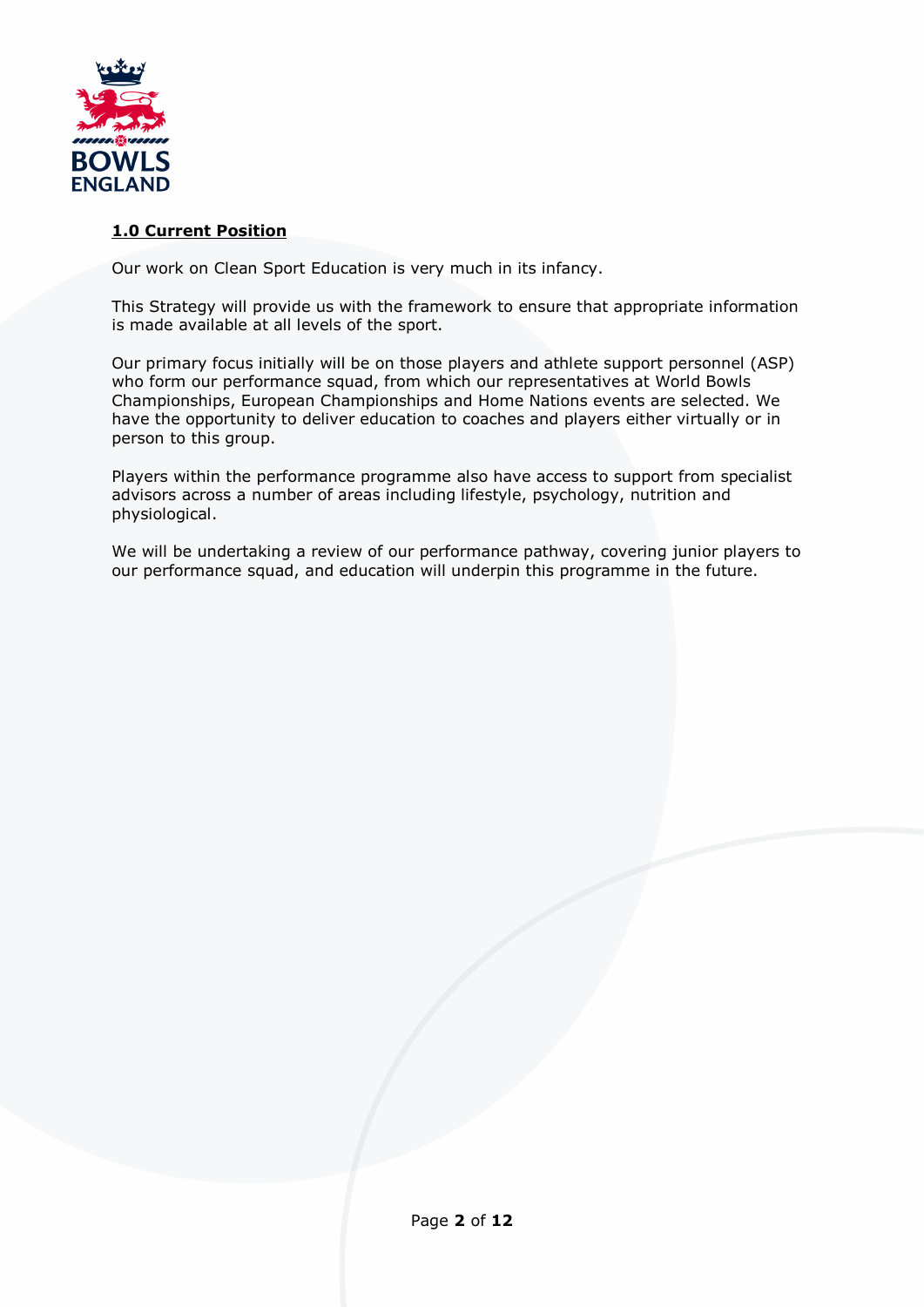

## **1.0 Current Position**

Our work on Clean Sport Education is very much in its infancy.

This Strategy will provide us with the framework to ensure that appropriate information is made available at all levels of the sport.

Our primary focus initially will be on those players and athlete support personnel (ASP) who form our performance squad, from which our representatives at World Bowls Championships, European Championships and Home Nations events are selected. We have the opportunity to deliver education to coaches and players either virtually or in person to this group.

Players within the performance programme also have access to support from specialist advisors across a number of areas including lifestyle, psychology, nutrition and physiological.

We will be undertaking a review of our performance pathway, covering junior players to our performance squad, and education will underpin this programme in the future.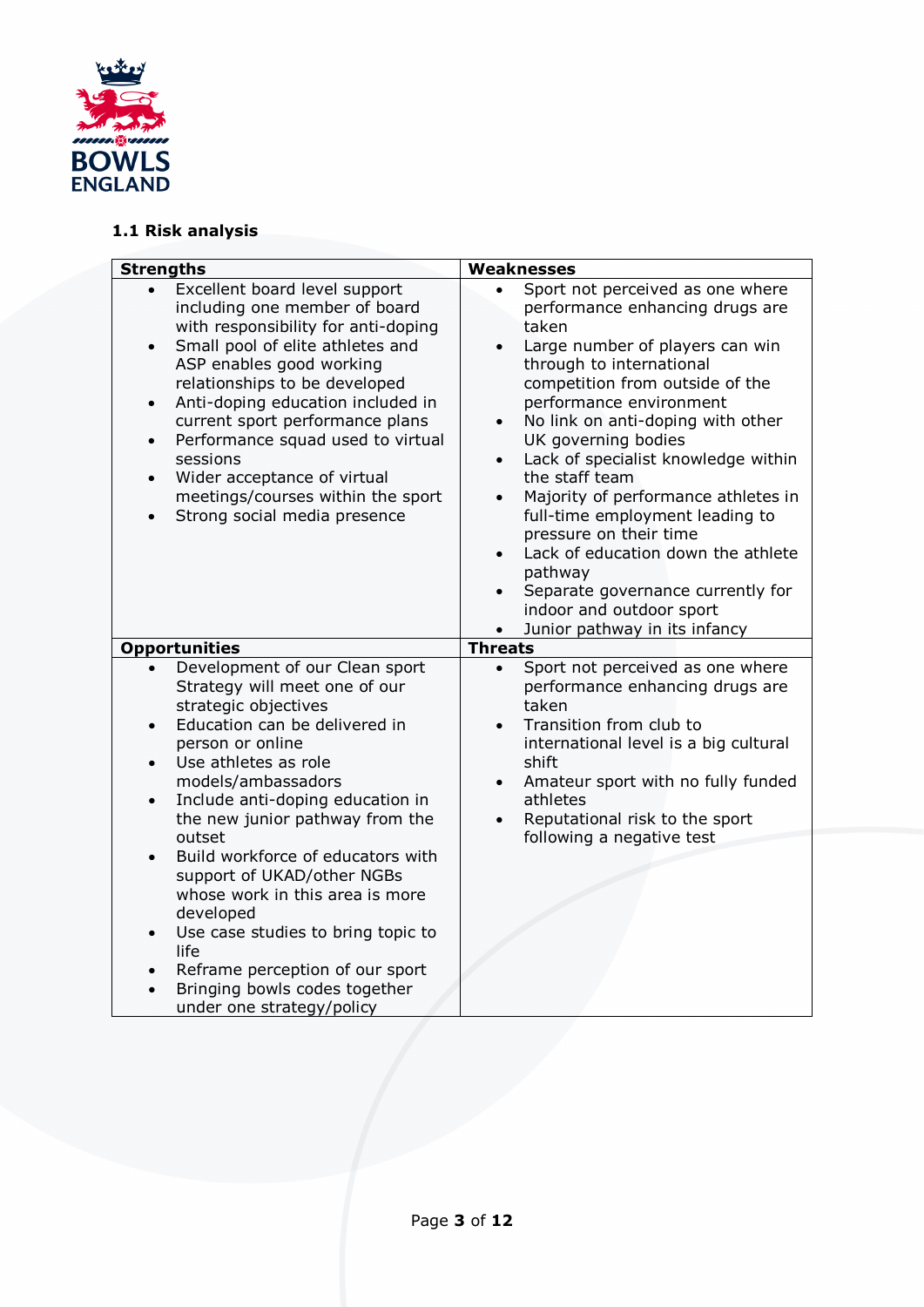

# **1.1 Risk analysis**

| <b>Strengths</b>                                                                                                                                                                                                                                                                                                                                                                                                                                                                                                                                                                                               | Weaknesses                                                                                                                                                                                                                                                                                                                                                                                                                                                                                                                                                                                                                                                                       |
|----------------------------------------------------------------------------------------------------------------------------------------------------------------------------------------------------------------------------------------------------------------------------------------------------------------------------------------------------------------------------------------------------------------------------------------------------------------------------------------------------------------------------------------------------------------------------------------------------------------|----------------------------------------------------------------------------------------------------------------------------------------------------------------------------------------------------------------------------------------------------------------------------------------------------------------------------------------------------------------------------------------------------------------------------------------------------------------------------------------------------------------------------------------------------------------------------------------------------------------------------------------------------------------------------------|
| Excellent board level support<br>$\bullet$<br>including one member of board<br>with responsibility for anti-doping<br>Small pool of elite athletes and<br>$\bullet$<br>ASP enables good working<br>relationships to be developed<br>Anti-doping education included in<br>$\bullet$<br>current sport performance plans<br>Performance squad used to virtual<br>$\bullet$<br>sessions<br>Wider acceptance of virtual<br>$\bullet$<br>meetings/courses within the sport<br>Strong social media presence<br>$\bullet$                                                                                              | Sport not perceived as one where<br>$\bullet$<br>performance enhancing drugs are<br>taken<br>Large number of players can win<br>$\bullet$<br>through to international<br>competition from outside of the<br>performance environment<br>No link on anti-doping with other<br>$\bullet$<br>UK governing bodies<br>Lack of specialist knowledge within<br>$\bullet$<br>the staff team<br>Majority of performance athletes in<br>full-time employment leading to<br>pressure on their time<br>Lack of education down the athlete<br>$\bullet$<br>pathway<br>Separate governance currently for<br>$\bullet$<br>indoor and outdoor sport<br>Junior pathway in its infancy<br>$\bullet$ |
| <b>Opportunities</b>                                                                                                                                                                                                                                                                                                                                                                                                                                                                                                                                                                                           | <b>Threats</b>                                                                                                                                                                                                                                                                                                                                                                                                                                                                                                                                                                                                                                                                   |
| Development of our Clean sport<br>Strategy will meet one of our<br>strategic objectives<br>Education can be delivered in<br>$\bullet$<br>person or online<br>Use athletes as role<br>$\bullet$<br>models/ambassadors<br>Include anti-doping education in<br>$\bullet$<br>the new junior pathway from the<br>outset<br>Build workforce of educators with<br>support of UKAD/other NGBs<br>whose work in this area is more<br>developed<br>Use case studies to bring topic to<br>$\bullet$<br>life<br>Reframe perception of our sport<br>$\bullet$<br>Bringing bowls codes together<br>under one strategy/policy | Sport not perceived as one where<br>$\bullet$<br>performance enhancing drugs are<br>taken<br>Transition from club to<br>$\bullet$<br>international level is a big cultural<br>shift<br>Amateur sport with no fully funded<br>athletes<br>Reputational risk to the sport<br>following a negative test                                                                                                                                                                                                                                                                                                                                                                             |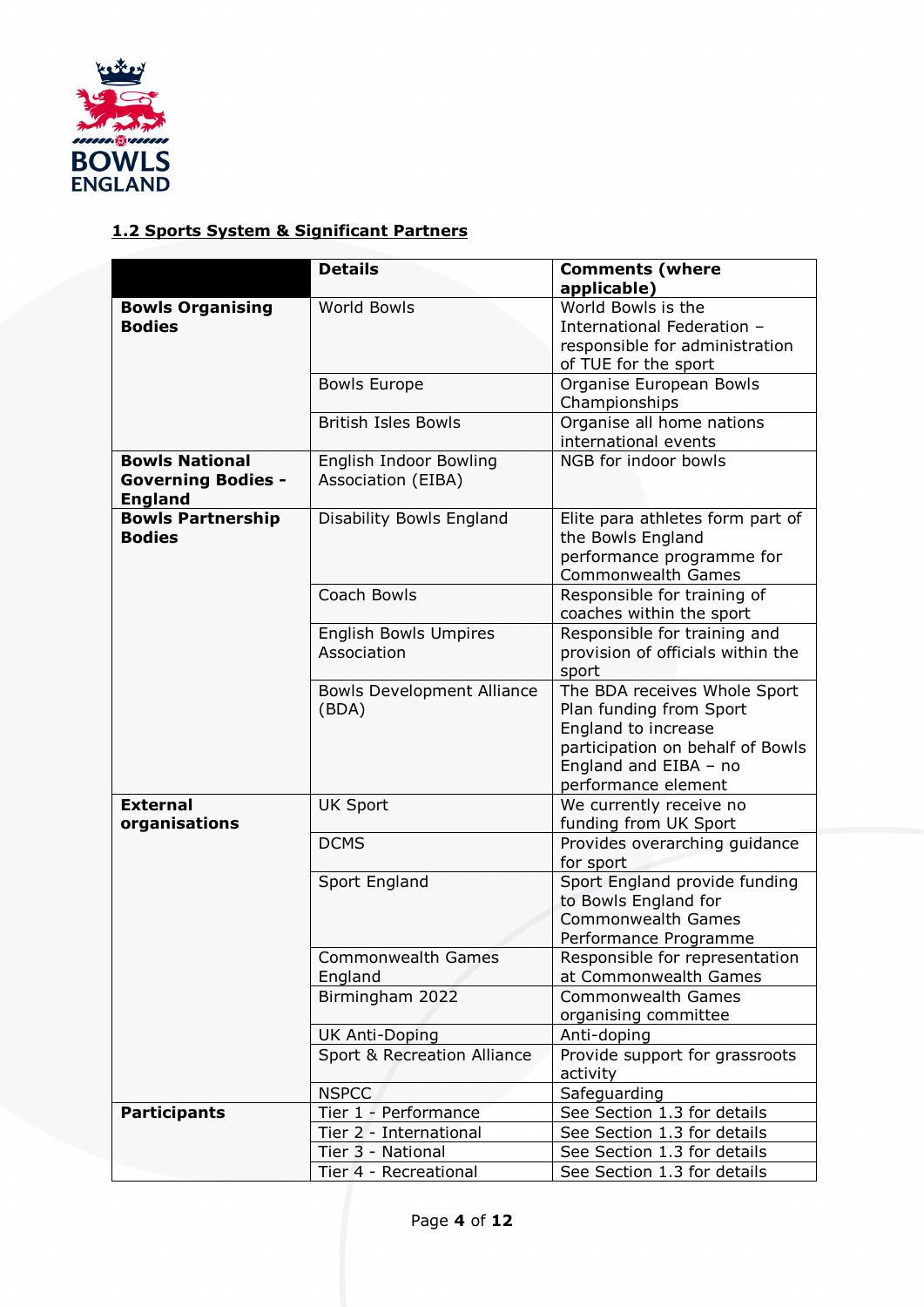

# **1.2 Sports System & Significant Partners**

|                           | <b>Details</b>                    | <b>Comments (where</b>                            |
|---------------------------|-----------------------------------|---------------------------------------------------|
|                           |                                   | applicable)                                       |
| <b>Bowls Organising</b>   | World Bowls                       | World Bowls is the                                |
| <b>Bodies</b>             |                                   | International Federation -                        |
|                           |                                   | responsible for administration                    |
|                           |                                   | of TUE for the sport                              |
|                           | <b>Bowls Europe</b>               | Organise European Bowls                           |
|                           |                                   | Championships                                     |
|                           | <b>British Isles Bowls</b>        | Organise all home nations<br>international events |
| <b>Bowls National</b>     | <b>English Indoor Bowling</b>     | NGB for indoor bowls                              |
| <b>Governing Bodies -</b> | Association (EIBA)                |                                                   |
| <b>England</b>            |                                   |                                                   |
| <b>Bowls Partnership</b>  | Disability Bowls England          | Elite para athletes form part of                  |
| <b>Bodies</b>             |                                   | the Bowls England                                 |
|                           |                                   | performance programme for                         |
|                           |                                   | <b>Commonwealth Games</b>                         |
|                           | Coach Bowls                       | Responsible for training of                       |
|                           |                                   | coaches within the sport                          |
|                           | <b>English Bowls Umpires</b>      | Responsible for training and                      |
|                           | Association                       | provision of officials within the                 |
|                           |                                   | sport                                             |
|                           | <b>Bowls Development Alliance</b> | The BDA receives Whole Sport                      |
|                           | (BDA)                             | Plan funding from Sport                           |
|                           |                                   | England to increase                               |
|                           |                                   | participation on behalf of Bowls                  |
|                           |                                   | England and EIBA - no                             |
|                           |                                   | performance element                               |
| <b>External</b>           | <b>UK Sport</b>                   | We currently receive no                           |
| organisations             |                                   | funding from UK Sport                             |
|                           | <b>DCMS</b>                       | Provides overarching guidance                     |
|                           |                                   | for sport                                         |
|                           | Sport England                     | Sport England provide funding                     |
|                           |                                   | to Bowls England for                              |
|                           |                                   | <b>Commonwealth Games</b>                         |
|                           |                                   | Performance Programme                             |
|                           | Commonwealth Games                | Responsible for representation                    |
|                           | England                           | at Commonwealth Games                             |
|                           | Birmingham 2022                   | <b>Commonwealth Games</b>                         |
|                           |                                   | organising committee                              |
|                           | <b>UK Anti-Doping</b>             | Anti-doping                                       |
|                           | Sport & Recreation Alliance       | Provide support for grassroots                    |
|                           |                                   | activity                                          |
|                           | <b>NSPCC</b>                      | Safeguarding                                      |
| <b>Participants</b>       | Tier 1 - Performance              | See Section 1.3 for details                       |
|                           | Tier 2 - International            | See Section 1.3 for details                       |
|                           | Tier 3 - National                 | See Section 1.3 for details                       |
|                           | Tier 4 - Recreational             | See Section 1.3 for details                       |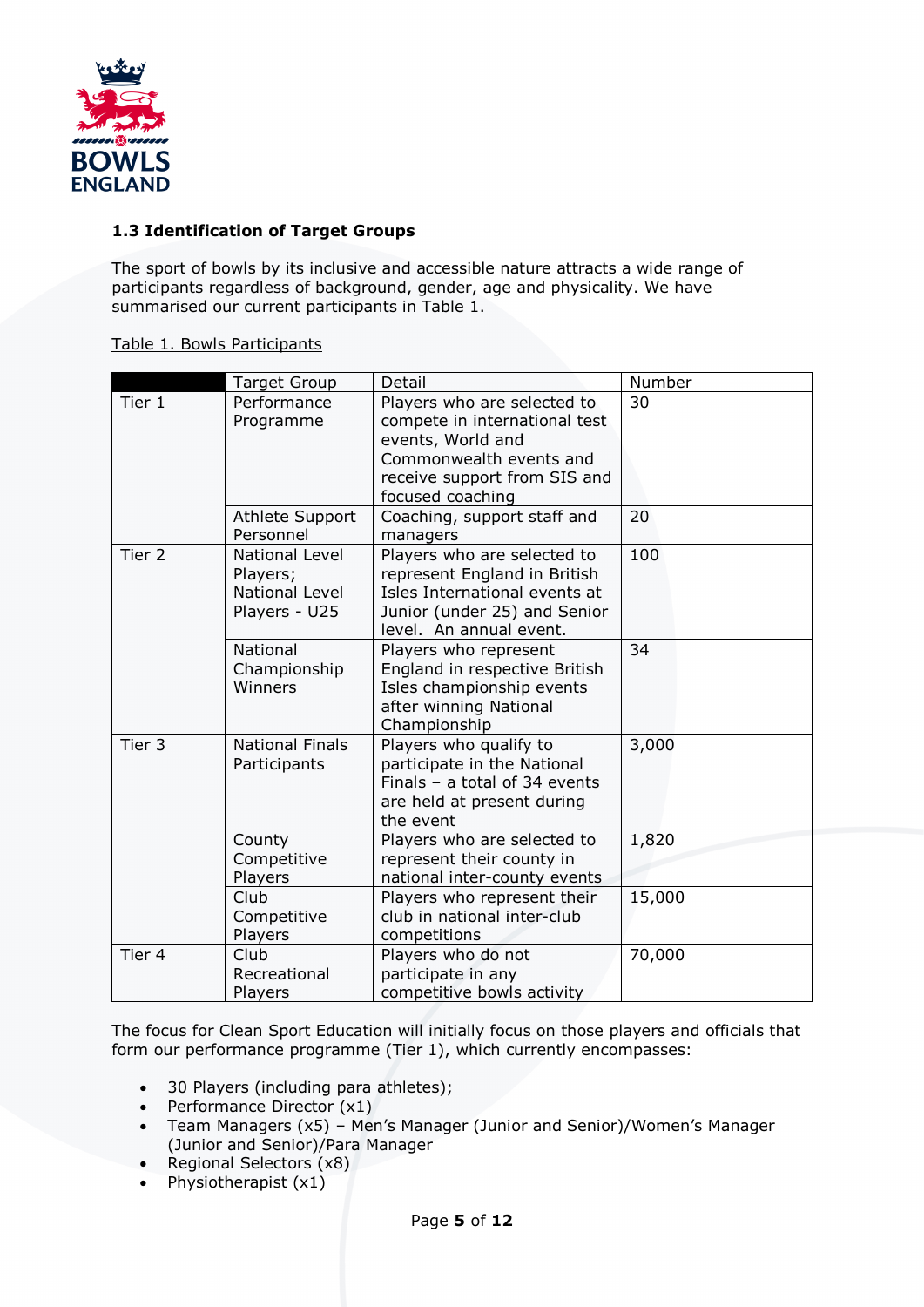

## **1.3 Identification of Target Groups**

The sport of bowls by its inclusive and accessible nature attracts a wide range of participants regardless of background, gender, age and physicality. We have summarised our current participants in Table 1.

### Table 1. Bowls Participants

|                   | <b>Target Group</b>                                           | Detail                                                                                                                                                           | Number |
|-------------------|---------------------------------------------------------------|------------------------------------------------------------------------------------------------------------------------------------------------------------------|--------|
| Tier 1            | Performance<br>Programme                                      | Players who are selected to<br>compete in international test<br>events, World and<br>Commonwealth events and<br>receive support from SIS and<br>focused coaching | 30     |
|                   | Athlete Support<br>Personnel                                  | Coaching, support staff and<br>managers                                                                                                                          | 20     |
| Tier <sub>2</sub> | National Level<br>Players;<br>National Level<br>Players - U25 | Players who are selected to<br>represent England in British<br>Isles International events at<br>Junior (under 25) and Senior<br>level. An annual event.          | 100    |
|                   | National<br>Championship<br>Winners                           | Players who represent<br>England in respective British<br>Isles championship events<br>after winning National<br>Championship                                    | 34     |
| Tier <sub>3</sub> | <b>National Finals</b><br>Participants                        | Players who qualify to<br>participate in the National<br>Finals $-$ a total of 34 events<br>are held at present during<br>the event                              | 3,000  |
|                   | County<br>Competitive<br>Players                              | Players who are selected to<br>represent their county in<br>national inter-county events                                                                         | 1,820  |
|                   | Club<br>Competitive<br>Players                                | Players who represent their<br>club in national inter-club<br>competitions                                                                                       | 15,000 |
| Tier 4            | Club<br>Recreational<br>Players                               | Players who do not<br>participate in any<br>competitive bowls activity                                                                                           | 70,000 |

The focus for Clean Sport Education will initially focus on those players and officials that form our performance programme (Tier 1), which currently encompasses:

- 30 Players (including para athletes);
- Performance Director (x1)
- Team Managers (x5) Men's Manager (Junior and Senior)/Women's Manager (Junior and Senior)/Para Manager
- Regional Selectors (x8)
- Physiotherapist  $(x1)$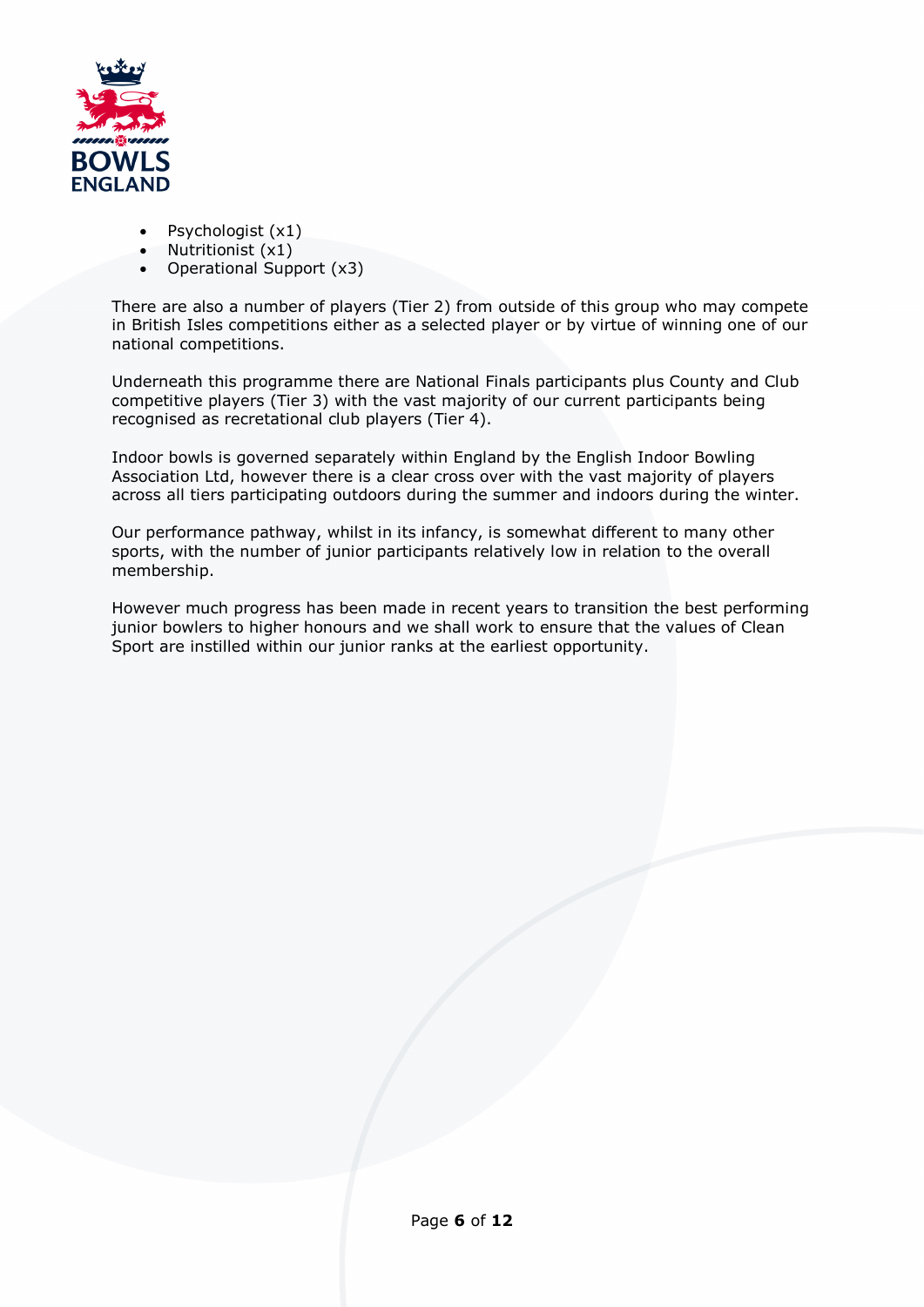

- Psychologist (x1)
- Nutritionist (x1)
- Operational Support (x3)

There are also a number of players (Tier 2) from outside of this group who may compete in British Isles competitions either as a selected player or by virtue of winning one of our national competitions.

Underneath this programme there are National Finals participants plus County and Club competitive players (Tier 3) with the vast majority of our current participants being recognised as recretational club players (Tier 4).

Indoor bowls is governed separately within England by the English Indoor Bowling Association Ltd, however there is a clear cross over with the vast majority of players across all tiers participating outdoors during the summer and indoors during the winter.

Our performance pathway, whilst in its infancy, is somewhat different to many other sports, with the number of junior participants relatively low in relation to the overall membership.

However much progress has been made in recent years to transition the best performing junior bowlers to higher honours and we shall work to ensure that the values of Clean Sport are instilled within our junior ranks at the earliest opportunity.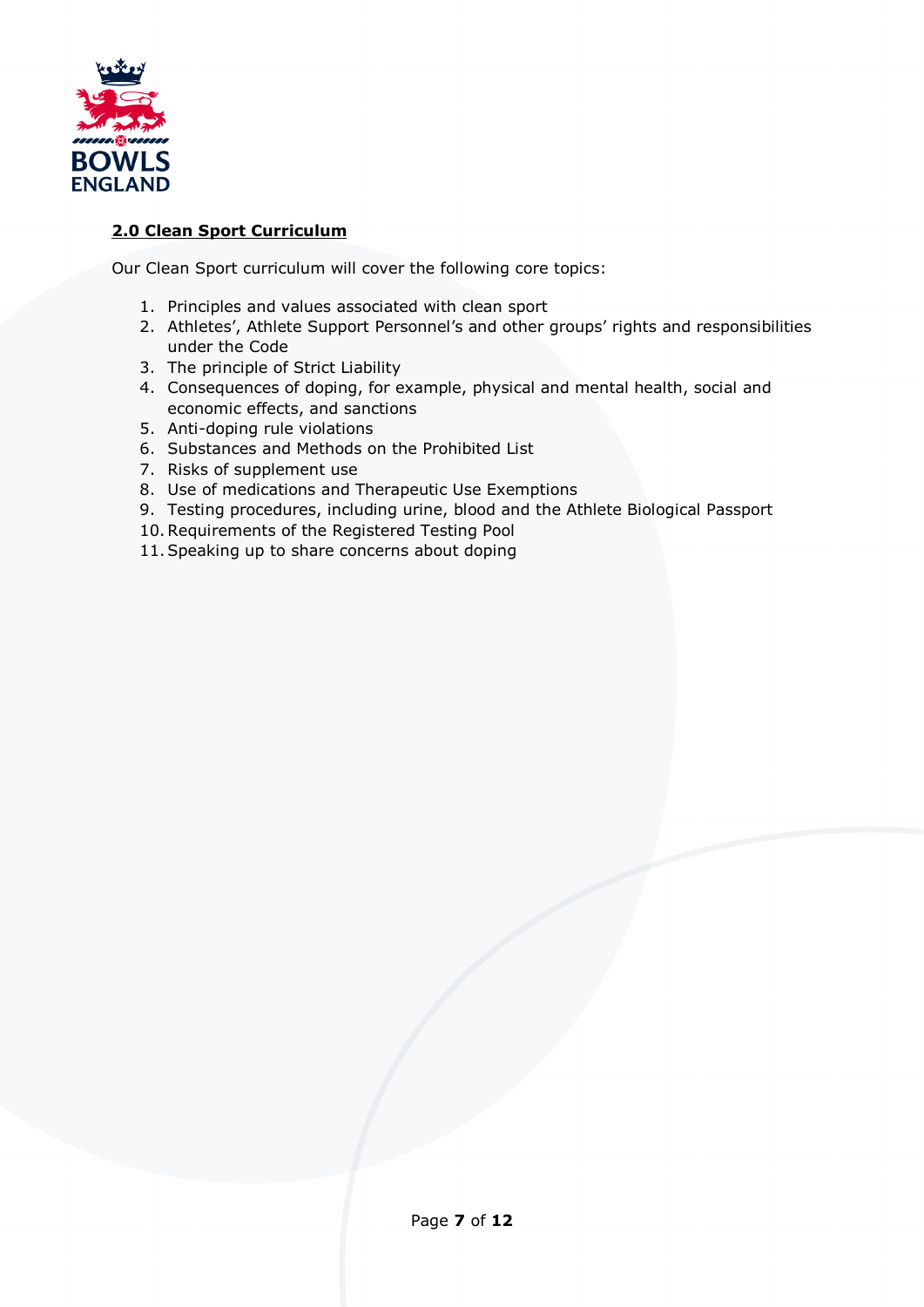

# **2.0 Clean Sport Curriculum**

Our Clean Sport curriculum will cover the following core topics:

- 1. Principles and values associated with clean sport
- 2. Athletes', Athlete Support Personnel's and other groups' rights and responsibilities under the Code
- 3. The principle of Strict Liability
- 4. Consequences of doping, for example, physical and mental health, social and economic effects, and sanctions
- 5. Anti-doping rule violations
- 6. Substances and Methods on the Prohibited List
- 7. Risks of supplement use
- 8. Use of medications and Therapeutic Use Exemptions
- 9. Testing procedures, including urine, blood and the Athlete Biological Passport
- 10.Requirements of the Registered Testing Pool
- 11.Speaking up to share concerns about doping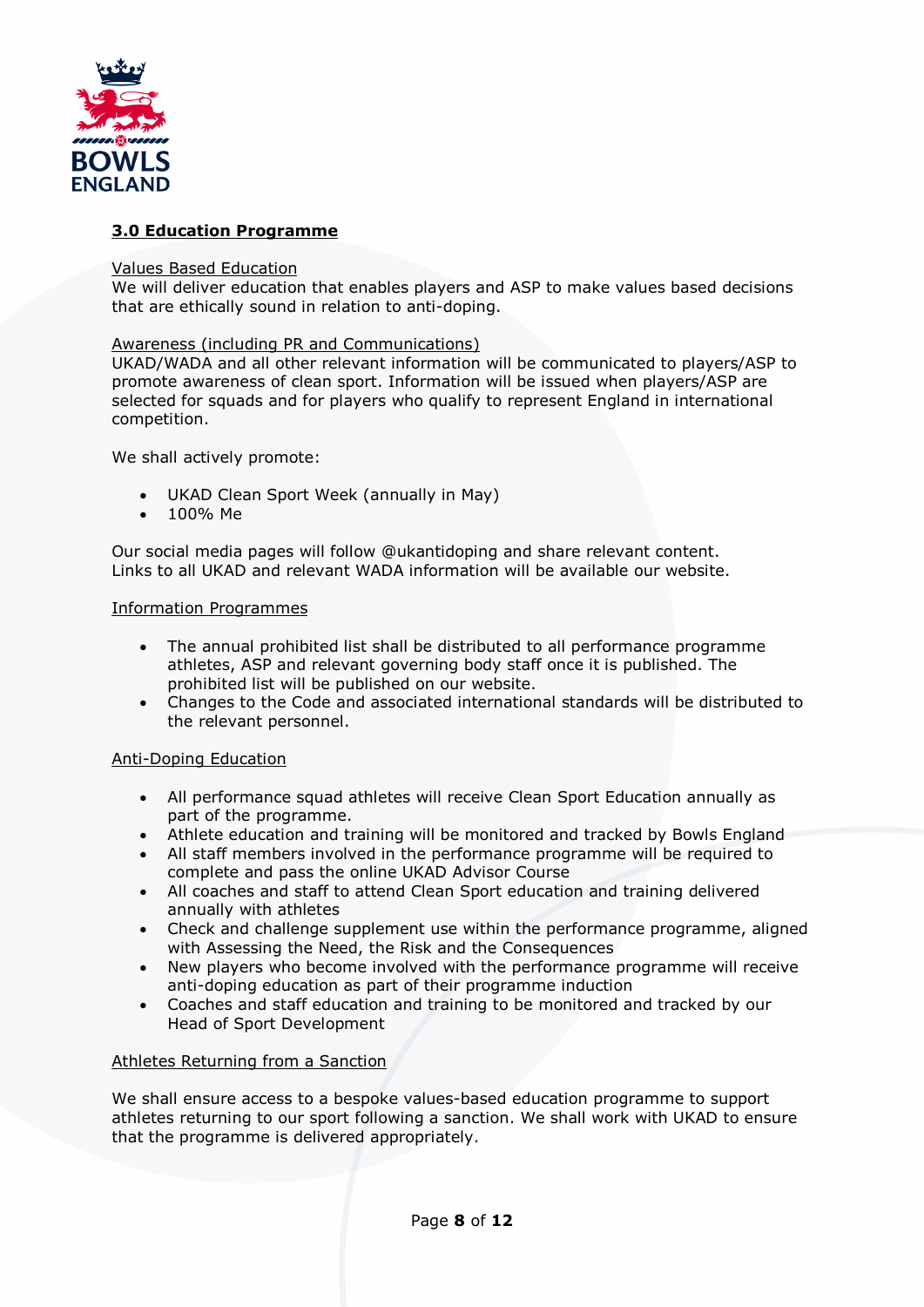

# **3.0 Education Programme**

#### Values Based Education

We will deliver education that enables players and ASP to make values based decisions that are ethically sound in relation to anti-doping.

#### Awareness (including PR and Communications)

UKAD/WADA and all other relevant information will be communicated to players/ASP to promote awareness of clean sport. Information will be issued when players/ASP are selected for squads and for players who qualify to represent England in international competition.

We shall actively promote:

- UKAD Clean Sport Week (annually in May)
- 100% Me

Our social media pages will follow @ukantidoping and share relevant content. Links to all UKAD and relevant WADA information will be available our website.

#### Information Programmes

- The annual prohibited list shall be distributed to all performance programme athletes, ASP and relevant governing body staff once it is published. The prohibited list will be published on our website.
- Changes to the Code and associated international standards will be distributed to the relevant personnel.

#### Anti-Doping Education

- All performance squad athletes will receive Clean Sport Education annually as part of the programme.
- Athlete education and training will be monitored and tracked by Bowls England
- All staff members involved in the performance programme will be required to complete and pass the online UKAD Advisor Course
- All coaches and staff to attend Clean Sport education and training delivered annually with athletes
- Check and challenge supplement use within the performance programme, aligned with Assessing the Need, the Risk and the Consequences
- New players who become involved with the performance programme will receive anti-doping education as part of their programme induction
- Coaches and staff education and training to be monitored and tracked by our Head of Sport Development

#### Athletes Returning from a Sanction

We shall ensure access to a bespoke values-based education programme to support athletes returning to our sport following a sanction. We shall work with UKAD to ensure that the programme is delivered appropriately.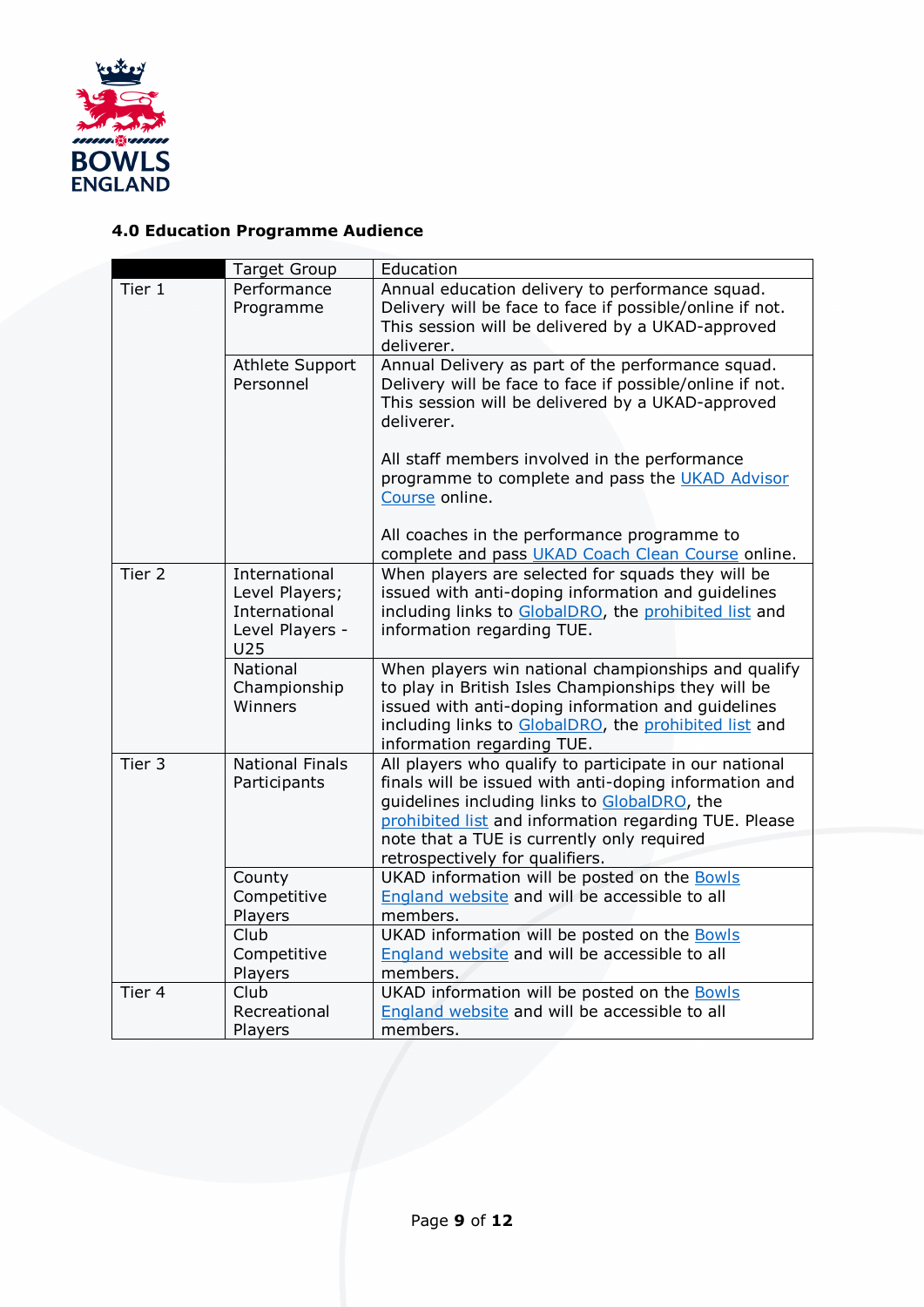

# **4.0 Education Programme Audience**

|                   | <b>Target Group</b>                                                        | Education                                                                                                                                                                                                                                                                                                  |
|-------------------|----------------------------------------------------------------------------|------------------------------------------------------------------------------------------------------------------------------------------------------------------------------------------------------------------------------------------------------------------------------------------------------------|
| Tier 1            | Performance<br>Programme                                                   | Annual education delivery to performance squad.<br>Delivery will be face to face if possible/online if not.<br>This session will be delivered by a UKAD-approved<br>deliverer.                                                                                                                             |
|                   | Athlete Support<br>Personnel                                               | Annual Delivery as part of the performance squad.<br>Delivery will be face to face if possible/online if not.<br>This session will be delivered by a UKAD-approved<br>deliverer.<br>All staff members involved in the performance<br>programme to complete and pass the UKAD Advisor                       |
|                   |                                                                            | Course online.<br>All coaches in the performance programme to<br>complete and pass UKAD Coach Clean Course online.                                                                                                                                                                                         |
| Tier <sub>2</sub> | International<br>Level Players;<br>International<br>Level Players -<br>U25 | When players are selected for squads they will be<br>issued with anti-doping information and guidelines<br>including links to GlobalDRO, the prohibited list and<br>information regarding TUE.                                                                                                             |
|                   | National<br>Championship<br>Winners                                        | When players win national championships and qualify<br>to play in British Isles Championships they will be<br>issued with anti-doping information and guidelines<br>including links to GlobalDRO, the prohibited list and<br>information regarding TUE.                                                    |
| Tier 3            | National Finals<br>Participants                                            | All players who qualify to participate in our national<br>finals will be issued with anti-doping information and<br>guidelines including links to GlobalDRO, the<br>prohibited list and information regarding TUE. Please<br>note that a TUE is currently only required<br>retrospectively for qualifiers. |
|                   | County<br>Competitive<br>Players                                           | UKAD information will be posted on the Bowls<br>England website and will be accessible to all<br>members.                                                                                                                                                                                                  |
|                   | Club<br>Competitive<br>Players                                             | UKAD information will be posted on the Bowls<br>England website and will be accessible to all<br>members.                                                                                                                                                                                                  |
| Tier 4            | Club<br>Recreational<br>Players                                            | UKAD information will be posted on the Bowls<br>England website and will be accessible to all<br>members.                                                                                                                                                                                                  |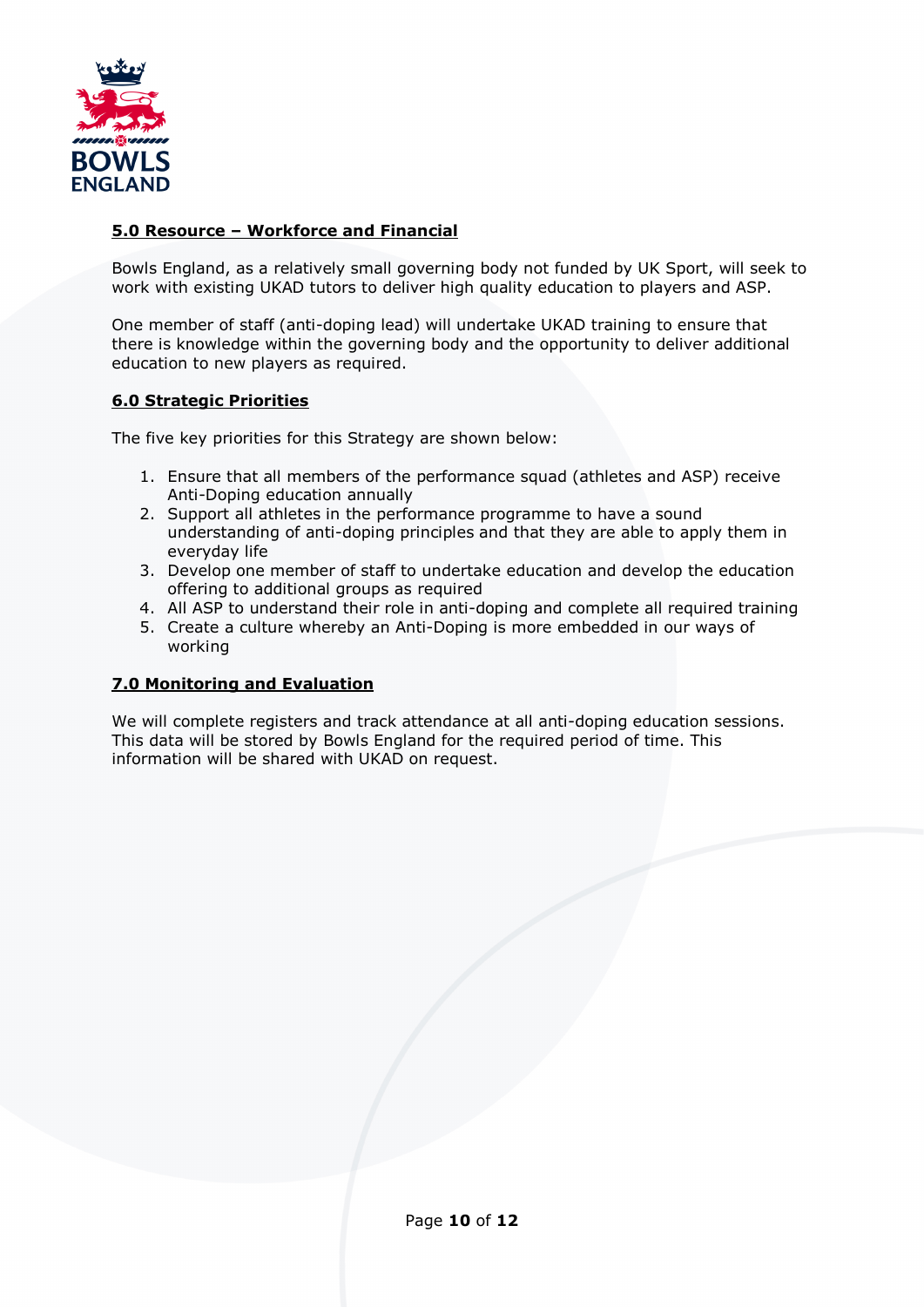

# **5.0 Resource – Workforce and Financial**

Bowls England, as a relatively small governing body not funded by UK Sport, will seek to work with existing UKAD tutors to deliver high quality education to players and ASP.

One member of staff (anti-doping lead) will undertake UKAD training to ensure that there is knowledge within the governing body and the opportunity to deliver additional education to new players as required.

## **6.0 Strategic Priorities**

The five key priorities for this Strategy are shown below:

- 1. Ensure that all members of the performance squad (athletes and ASP) receive Anti-Doping education annually
- 2. Support all athletes in the performance programme to have a sound understanding of anti-doping principles and that they are able to apply them in everyday life
- 3. Develop one member of staff to undertake education and develop the education offering to additional groups as required
- 4. All ASP to understand their role in anti-doping and complete all required training
- 5. Create a culture whereby an Anti-Doping is more embedded in our ways of working

## **7.0 Monitoring and Evaluation**

We will complete registers and track attendance at all anti-doping education sessions. This data will be stored by Bowls England for the required period of time. This information will be shared with UKAD on request.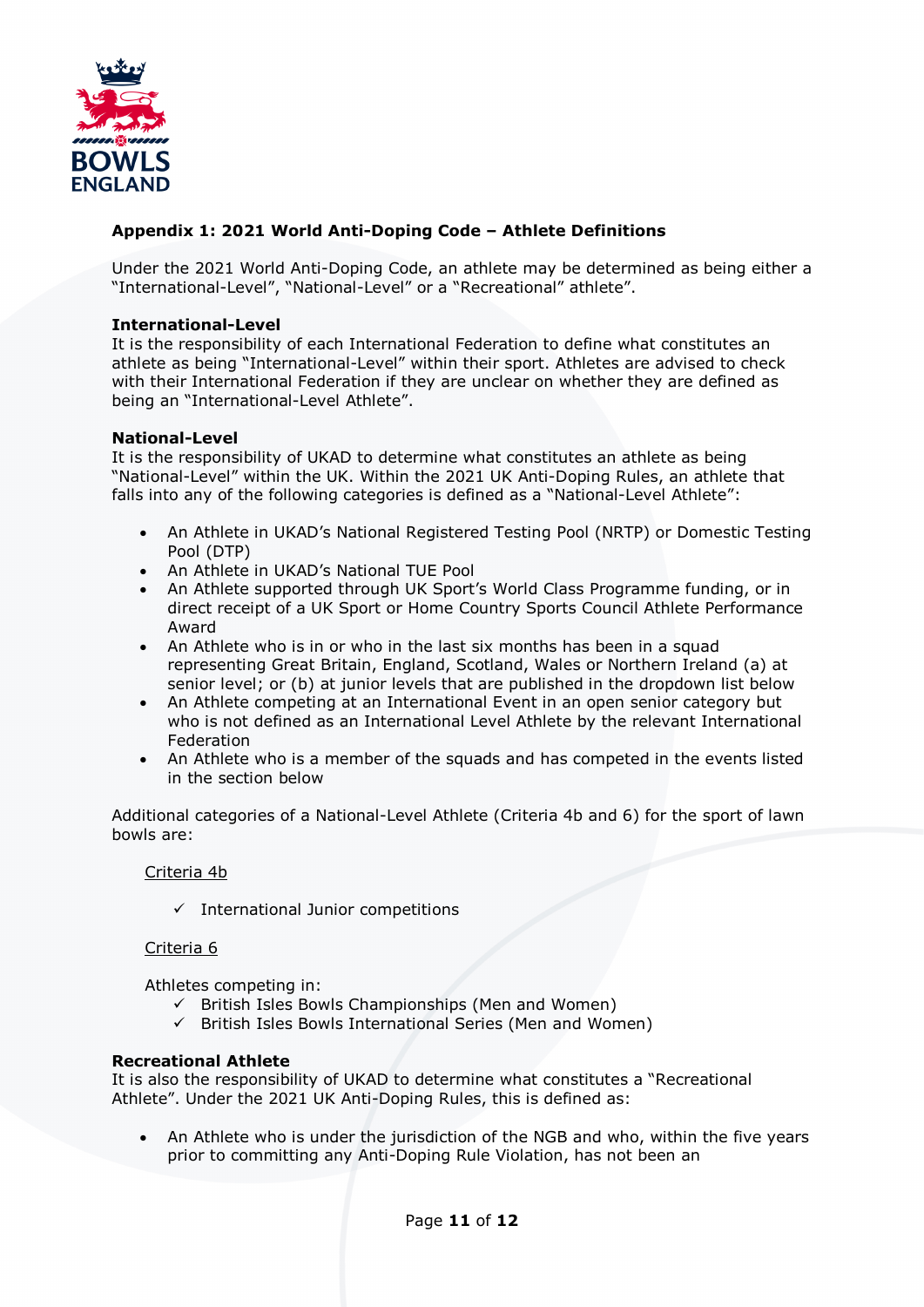

# **Appendix 1: 2021 World Anti-Doping Code – Athlete Definitions**

Under the 2021 World Anti-Doping Code, an athlete may be determined as being either a "International-Level", "National-Level" or a "Recreational" athlete".

#### **International-Level**

It is the responsibility of each International Federation to define what constitutes an athlete as being "International-Level" within their sport. Athletes are advised to check with their International Federation if they are unclear on whether they are defined as being an "International-Level Athlete".

#### **National-Level**

It is the responsibility of UKAD to determine what constitutes an athlete as being "National-Level" within the UK. Within the 2021 UK Anti-Doping Rules, an athlete that falls into any of the following categories is defined as a "National-Level Athlete":

- An Athlete in UKAD's National Registered Testing Pool (NRTP) or Domestic Testing Pool (DTP)
- An Athlete in UKAD's National TUE Pool
- An Athlete supported through UK Sport's World Class Programme funding, or in direct receipt of a UK Sport or Home Country Sports Council Athlete Performance Award
- An Athlete who is in or who in the last six months has been in a squad representing Great Britain, England, Scotland, Wales or Northern Ireland (a) at senior level; or (b) at junior levels that are published in the dropdown list below
- An Athlete competing at an International Event in an open senior category but who is not defined as an International Level Athlete by the relevant International Federation
- An Athlete who is a member of the squads and has competed in the events listed in the section below

Additional categories of a National-Level Athlete (Criteria 4b and 6) for the sport of lawn bowls are:

### Criteria 4b

 $\checkmark$  International Junior competitions

#### Criteria 6

Athletes competing in:

- $\checkmark$  British Isles Bowls Championships (Men and Women)
- $\checkmark$  British Isles Bowls International Series (Men and Women)

#### **Recreational Athlete**

It is also the responsibility of UKAD to determine what constitutes a "Recreational Athlete". Under the 2021 UK Anti-Doping Rules, this is defined as:

• An Athlete who is under the jurisdiction of the NGB and who, within the five years prior to committing any Anti-Doping Rule Violation, has not been an